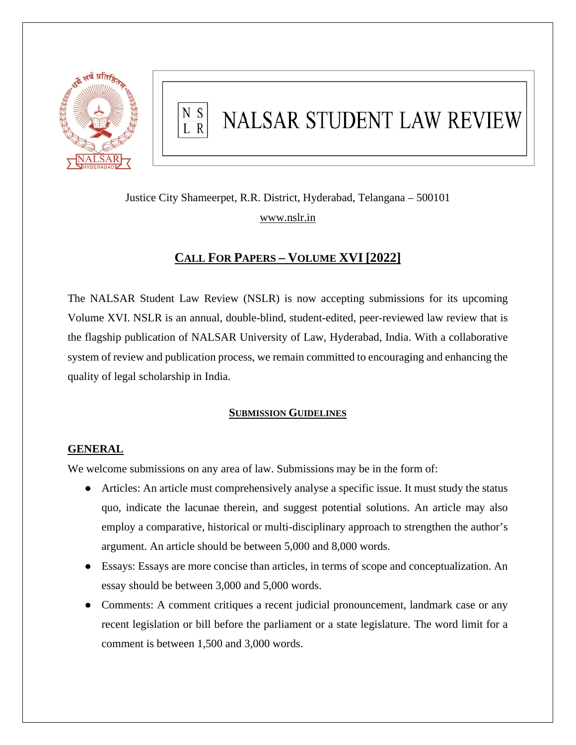

#### N S NALSAR STUDENT LAW REVIEW  $\overline{L}$  R

Justice City Shameerpet, R.R. District, Hyderabad, Telangana – 500101 [www.nslr.in](http://www.nslr.in/)

# **CALL FOR PAPERS – VOLUME XVI [2022]**

The NALSAR Student Law Review (NSLR) is now accepting submissions for its upcoming Volume XVI. NSLR is an annual, double-blind, student-edited, peer-reviewed law review that is the flagship publication of NALSAR University of Law, Hyderabad, India. With a collaborative system of review and publication process, we remain committed to encouraging and enhancing the quality of legal scholarship in India.

## **SUBMISSION GUIDELINES**

## **GENERAL**

We welcome submissions on any area of law. Submissions may be in the form of:

- Articles: An article must comprehensively analyse a specific issue. It must study the status quo, indicate the lacunae therein, and suggest potential solutions. An article may also employ a comparative, historical or multi-disciplinary approach to strengthen the author's argument. An article should be between 5,000 and 8,000 words.
- Essays: Essays are more concise than articles, in terms of scope and conceptualization. An essay should be between 3,000 and 5,000 words.
- Comments: A comment critiques a recent judicial pronouncement, landmark case or any recent legislation or bill before the parliament or a state legislature. The word limit for a comment is between 1,500 and 3,000 words.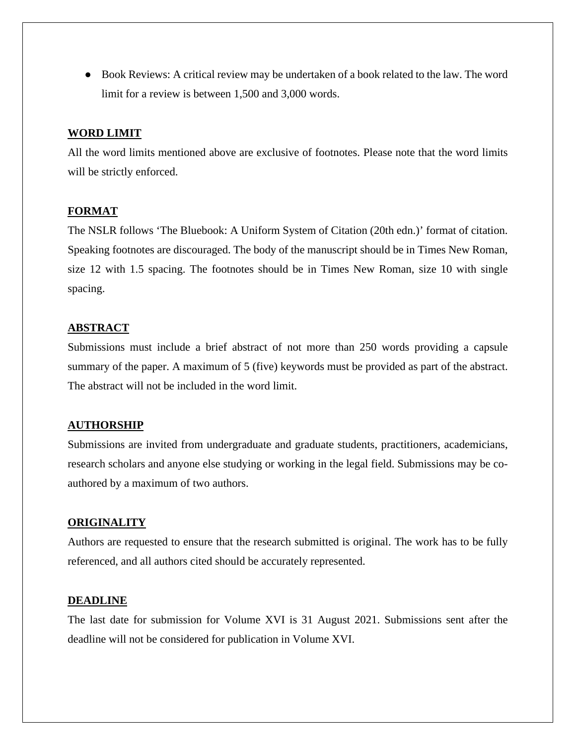● Book Reviews: A critical review may be undertaken of a book related to the law. The word limit for a review is between 1,500 and 3,000 words.

#### **WORD LIMIT**

All the word limits mentioned above are exclusive of footnotes. Please note that the word limits will be strictly enforced.

#### **FORMAT**

The NSLR follows 'The Bluebook: A Uniform System of Citation (20th edn.)' format of citation. Speaking footnotes are discouraged. The body of the manuscript should be in Times New Roman, size 12 with 1.5 spacing. The footnotes should be in Times New Roman, size 10 with single spacing.

## **ABSTRACT**

Submissions must include a brief abstract of not more than 250 words providing a capsule summary of the paper. A maximum of 5 (five) keywords must be provided as part of the abstract. The abstract will not be included in the word limit.

#### **AUTHORSHIP**

Submissions are invited from undergraduate and graduate students, practitioners, academicians, research scholars and anyone else studying or working in the legal field. Submissions may be coauthored by a maximum of two authors.

#### **ORIGINALITY**

Authors are requested to ensure that the research submitted is original. The work has to be fully referenced, and all authors cited should be accurately represented.

#### **DEADLINE**

The last date for submission for Volume XVI is 31 August 2021. Submissions sent after the deadline will not be considered for publication in Volume XVI.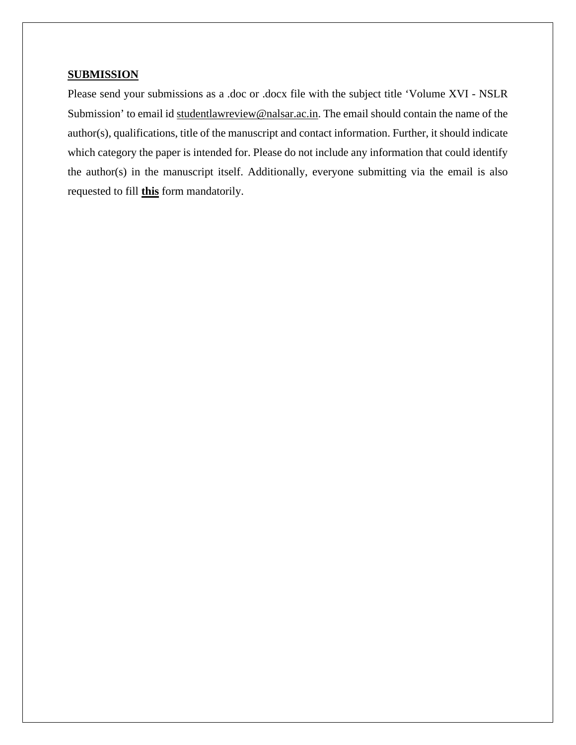#### **SUBMISSION**

Please send your submissions as a .doc or .docx file with the subject title 'Volume XVI - NSLR Submission' to email id [studentlawreview@nalsar.ac.in.](mailto:studentlawreview@nalsar.ac.in) The email should contain the name of the author(s), qualifications, title of the manuscript and contact information. Further, it should indicate which category the paper is intended for. Please do not include any information that could identify the author(s) in the manuscript itself. Additionally, everyone submitting via the email is also requested to fill **[this](https://forms.gle/vfucaqJ6s5agpHMK7)** form mandatorily.